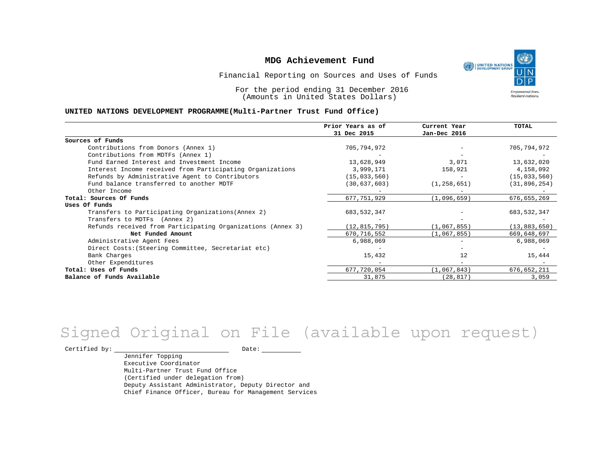UNITED NATIONS **Empowered lives** Resilient nations.

Financial Reporting on Sources and Uses of Funds

For the period ending 31 December 2016 (Amounts in United States Dollars)

#### **UNITED NATIONS DEVELOPMENT PROGRAMME(Multi-Partner Trust Fund Office)**

|                                                             | Prior Years as of | Current Year  | <b>TOTAL</b>   |
|-------------------------------------------------------------|-------------------|---------------|----------------|
|                                                             | 31 Dec 2015       | Jan-Dec 2016  |                |
| Sources of Funds                                            |                   |               |                |
| Contributions from Donors (Annex 1)                         | 705,794,972       |               | 705,794,972    |
| Contributions from MDTFs (Annex 1)                          |                   |               |                |
| Fund Earned Interest and Investment Income                  | 13,628,949        | 3,071         | 13,632,020     |
| Interest Income received from Participating Organizations   | 3,999,171         | 158,921       | 4,158,092      |
| Refunds by Administrative Agent to Contributors             | (15, 033, 560)    |               | (15, 033, 560) |
| Fund balance transferred to another MDTF                    | (30, 637, 603)    | (1, 258, 651) | (31, 896, 254) |
| Other Income                                                |                   |               |                |
| Total: Sources Of Funds                                     | 677,751,929       | (1,096,659)   | 676,655,269    |
| Uses Of Funds                                               |                   |               |                |
| Transfers to Participating Organizations (Annex 2)          | 683, 532, 347     |               | 683, 532, 347  |
| Transfers to MDTFs (Annex 2)                                |                   |               |                |
| Refunds received from Participating Organizations (Annex 3) | (12, 815, 795)    | (1,067,855)   | (13, 883, 650) |
| Net Funded Amount                                           | 670, 716, 552     | (1,067,855)   | 669,648,697    |
| Administrative Agent Fees                                   | 6,988,069         |               | 6,988,069      |
| Direct Costs: (Steering Committee, Secretariat etc)         |                   |               |                |
| Bank Charges                                                | 15,432            | 12            | 15,444         |
| Other Expenditures                                          |                   |               |                |
| Total: Uses of Funds                                        | 677,720,054       | (1,067,843)   | 676,652,211    |
| Balance of Funds Available                                  | 31,875            | (28, 817)     | 3,059          |

# Signed Original on File (available upon request)

Certified by: Date:

Jennifer Topping Executive Coordinator Multi-Partner Trust Fund Office (Certified under delegation from) Deputy Assistant Administrator, Deputy Director and Chief Finance Officer, Bureau for Management Services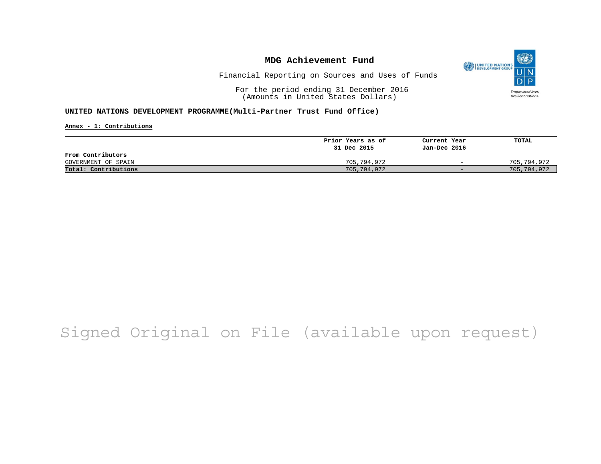

Financial Reporting on Sources and Uses of Funds

For the period ending 31 December 2016 (Amounts in United States Dollars)

#### **UNITED NATIONS DEVELOPMENT PROGRAMME(Multi-Partner Trust Fund Office)**

**Annex - 1: Contributions**

|                      | Prior Years as of | Current Year             | TOTAL       |
|----------------------|-------------------|--------------------------|-------------|
|                      | 31 Dec 2015       | Jan-Dec 2016             |             |
| From Contributors    |                   |                          |             |
| GOVERNMENT OF SPAIN  | 705,794,972       | $\overline{\phantom{0}}$ | 705,794,972 |
| Total: Contributions | 705,794,972       | $-$                      | 705,794,972 |

# Signed Original on File (available upon request)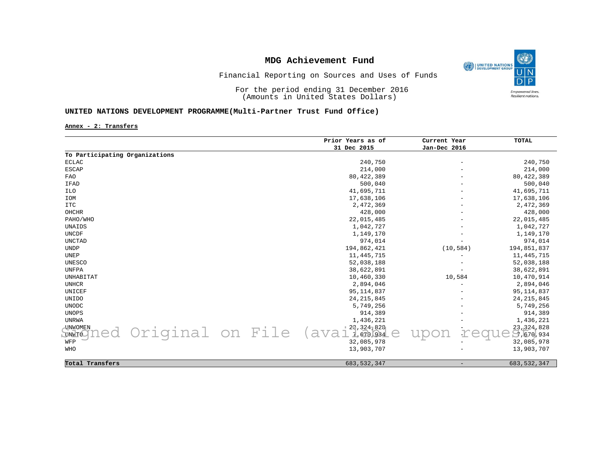

### Financial Reporting on Sources and Uses of Funds

For the period ending 31 December 2016 (Amounts in United States Dollars)

### **UNITED NATIONS DEVELOPMENT PROGRAMME(Multi-Partner Trust Fund Office)**

**Annex - 2: Transfers**

|                                |                  |  | Prior Years as of | Current Year             | <b>TOTAL</b>  |
|--------------------------------|------------------|--|-------------------|--------------------------|---------------|
|                                |                  |  | 31 Dec 2015       | Jan-Dec 2016             |               |
| To Participating Organizations |                  |  |                   |                          |               |
| <b>ECLAC</b>                   |                  |  | 240,750           | $\overline{\phantom{a}}$ | 240,750       |
| <b>ESCAP</b>                   |                  |  | 214,000           |                          | 214,000       |
| <b>FAO</b>                     |                  |  | 80,422,389        |                          | 80, 422, 389  |
| IFAD                           |                  |  | 500,040           |                          | 500,040       |
| <b>ILO</b>                     |                  |  | 41,695,711        |                          | 41,695,711    |
| IOM                            |                  |  | 17,638,106        |                          | 17,638,106    |
| <b>ITC</b>                     |                  |  | 2,472,369         |                          | 2,472,369     |
| OHCHR                          |                  |  | 428,000           |                          | 428,000       |
| PAHO/WHO                       |                  |  | 22,015,485        |                          | 22,015,485    |
| UNAIDS                         |                  |  | 1,042,727         |                          | 1,042,727     |
| <b>UNCDF</b>                   |                  |  | 1,149,170         |                          | 1,149,170     |
| <b>UNCTAD</b>                  |                  |  | 974,014           |                          | 974,014       |
| <b>UNDP</b>                    |                  |  | 194,862,421       | (10, 584)                | 194,851,837   |
| UNEP                           |                  |  | 11, 445, 715      |                          | 11, 445, 715  |
| UNESCO                         |                  |  | 52,038,188        |                          | 52,038,188    |
| <b>UNFPA</b>                   |                  |  | 38,622,891        | $\overline{\phantom{0}}$ | 38,622,891    |
| UNHABITAT                      |                  |  | 10,460,330        | 10,584                   | 10,470,914    |
| <b>UNHCR</b>                   |                  |  | 2,894,046         |                          | 2,894,046     |
| UNICEF                         |                  |  | 95, 114, 837      |                          | 95, 114, 837  |
| <b>UNIDO</b>                   |                  |  | 24, 215, 845      |                          | 24, 215, 845  |
| <b>UNODC</b>                   |                  |  | 5,749,256         |                          | 5,749,256     |
| <b>UNOPS</b>                   |                  |  | 914,389           |                          | 914,389       |
| <b>UNRWA</b>                   |                  |  | 1,436,221         |                          | 1,436,221     |
| <b>UNWOMEN</b>                 |                  |  | 123,3247826       |                          | 23,324,828    |
| <b>UNWTO</b>                   | Original on File |  | (ava<br>7.670934  |                          | 5.670,934     |
| WFP                            |                  |  | 32,085,978        |                          | 32,085,978    |
| WHO                            |                  |  | 13,903,707        |                          | 13,903,707    |
|                                |                  |  |                   |                          |               |
| Total Transfers                |                  |  | 683, 532, 347     |                          | 683, 532, 347 |